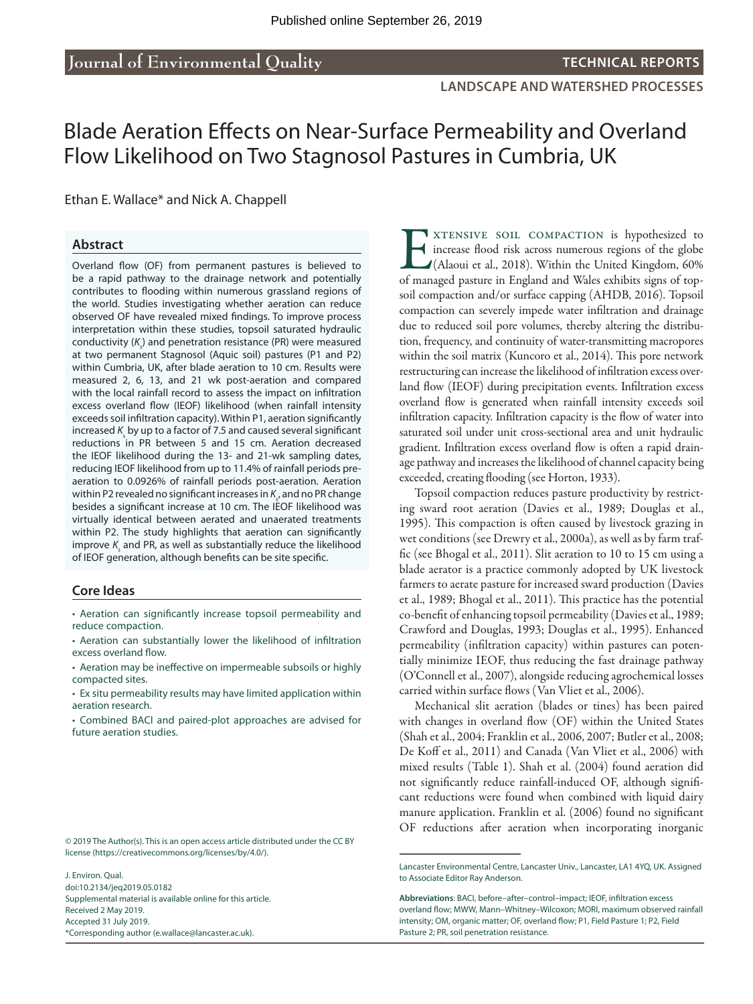**LANDSCAPE AND WATERSHED PROCESSES**

# Blade Aeration Effects on Near-Surface Permeability and Overland Flow Likelihood on Two Stagnosol Pastures in Cumbria, UK

#### Ethan E. Wallace\* and Nick A. Chappell

#### **Abstract**

Overland flow (OF) from permanent pastures is believed to be a rapid pathway to the drainage network and potentially contributes to flooding within numerous grassland regions of the world. Studies investigating whether aeration can reduce observed OF have revealed mixed findings. To improve process interpretation within these studies, topsoil saturated hydraulic conductivity (K<sub><sub>s</sub>) and penetration resistance (PR) were measured</sub> at two permanent Stagnosol (Aquic soil) pastures (P1 and P2) within Cumbria, UK, after blade aeration to 10 cm. Results were measured 2, 6, 13, and 21 wk post-aeration and compared with the local rainfall record to assess the impact on infiltration excess overland flow (IEOF) likelihood (when rainfall intensity exceeds soil infiltration capacity). Within P1, aeration significantly increased *K*<sub>s</sub> by up to a factor of 7.5 and caused several significant reductions in PR between 5 and 15 cm. Aeration decreased the IEOF likelihood during the 13- and 21-wk sampling dates, reducing IEOF likelihood from up to 11.4% of rainfall periods preaeration to 0.0926% of rainfall periods post-aeration. Aeration within P2 revealed no significant increases in  $\mathcal{K}_{\varsigma}$ , and no PR change besides a significant increase at 10 cm. The IEOF likelihood was virtually identical between aerated and unaerated treatments within P2. The study highlights that aeration can significantly improve  $K_{\text{s}}$  and PR, as well as substantially reduce the likelihood of IEOF generation, although benefits can be site specific.

#### **Core Ideas**

• Aeration can significantly increase topsoil permeability and reduce compaction.

• Ex situ permeability results may have limited application within aeration research.

• Combined BACI and paired-plot approaches are advised for future aeration studies.

© 2019 The Author(s). This is an open access article distributed under the CC BY license [\(https://creativecommons.org/licenses/by/4.0/](https://creativecommons.org/licenses/by/4.0/)).

J. Environ. Qual. [doi:10.2134/jeq2019.05.0182](https://dx.doi.org/10.2134/jeq2019.05.0182) Supplemental material is available online for this article. Received 2 May 2019. Accepted 31 July 2019. \*Corresponding author ([e.wallace@lancaster.ac.uk\)](mailto:e.wallace@lancaster.ac.uk).

**EXTENSIVE SOIL COMPACTION is hypothesized to** increase flood risk across numerous regions of the globe (Alaoui et al., 2018). Within the United Kingdom, 60% of managed pasture in England and Wales exhibits signs of topincrease flood risk across numerous regions of the globe (Alaoui et al., 2018). Within the United Kingdom, 60% of managed pasture in England and Wales exhibits signs of topsoil compaction and/or surface capping (AHDB, 2016). Topsoil compaction can severely impede water infiltration and drainage due to reduced soil pore volumes, thereby altering the distribution, frequency, and continuity of water-transmitting macropores within the soil matrix (Kuncoro et al., 2014). This pore network restructuring can increase the likelihood of infiltration excess overland flow (IEOF) during precipitation events. Infiltration excess overland flow is generated when rainfall intensity exceeds soil infiltration capacity. Infiltration capacity is the flow of water into saturated soil under unit cross-sectional area and unit hydraulic gradient. Infiltration excess overland flow is often a rapid drainage pathway and increases the likelihood of channel capacity being exceeded, creating flooding (see Horton, 1933).

Topsoil compaction reduces pasture productivity by restricting sward root aeration (Davies et al., 1989; Douglas et al., 1995). This compaction is often caused by livestock grazing in wet conditions (see Drewry et al., 2000a), as well as by farm traffic (see Bhogal et al., 2011). Slit aeration to 10 to 15 cm using a blade aerator is a practice commonly adopted by UK livestock farmers to aerate pasture for increased sward production (Davies et al., 1989; Bhogal et al., 2011). This practice has the potential co-benefit of enhancing topsoil permeability (Davies et al., 1989; Crawford and Douglas, 1993; Douglas et al., 1995). Enhanced permeability (infiltration capacity) within pastures can potentially minimize IEOF, thus reducing the fast drainage pathway (O'Connell et al., 2007), alongside reducing agrochemical losses carried within surface flows (Van Vliet et al., 2006).

Mechanical slit aeration (blades or tines) has been paired with changes in overland flow (OF) within the United States (Shah et al., 2004; Franklin et al., 2006, 2007; Butler et al., 2008; De Koff et al., 2011) and Canada (Van Vliet et al., 2006) with mixed results (Table 1). Shah et al. (2004) found aeration did not significantly reduce rainfall-induced OF, although significant reductions were found when combined with liquid dairy manure application. Franklin et al. (2006) found no significant OF reductions after aeration when incorporating inorganic

<sup>•</sup> Aeration can substantially lower the likelihood of infiltration excess overland flow.

<sup>•</sup> Aeration may be ineffective on impermeable subsoils or highly compacted sites.

Lancaster Environmental Centre, Lancaster Univ., Lancaster, LA1 4YQ, UK. Assigned to Associate Editor Ray Anderson.

**Abbreviations**: BACI, before–after–control–impact; IEOF, infiltration excess overland flow; MWW, Mann–Whitney–Wilcoxon; MORI, maximum observed rainfall intensity; OM, organic matter; OF, overland flow; P1, Field Pasture 1; P2, Field Pasture 2; PR, soil penetration resistance.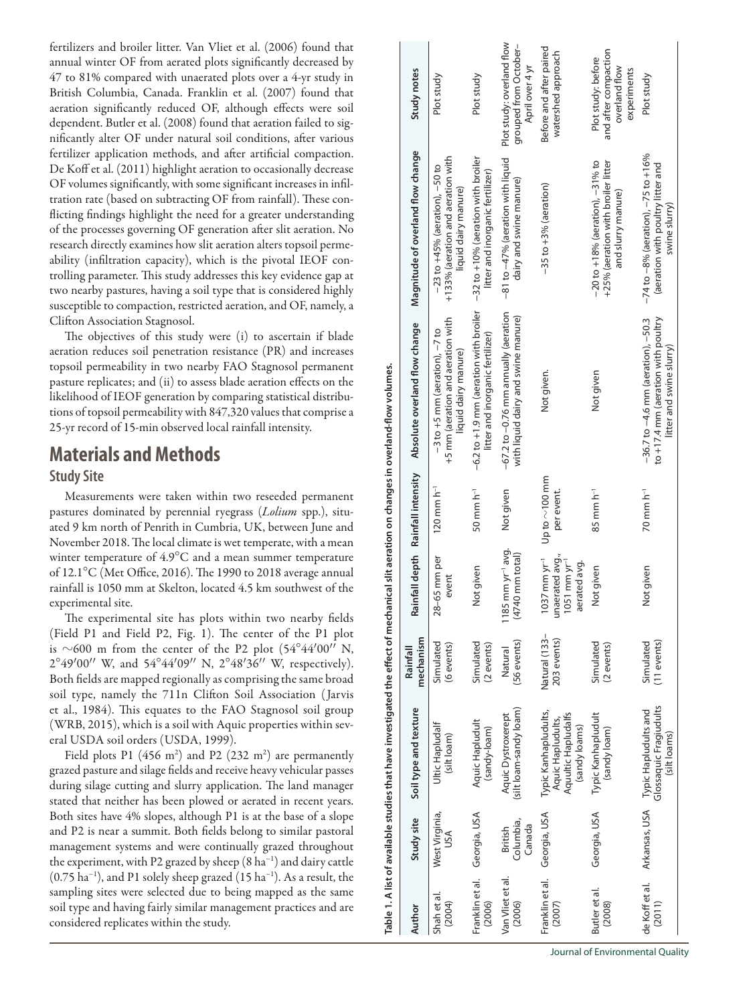fertilizers and broiler litter. Van Vliet et al. (2006) found that annual winter OF from aerated plots significantly decreased by 47 to 81% compared with unaerated plots over a 4-yr study in British Columbia, Canada. Franklin et al. (2007) found that aeration significantly reduced OF, although effects were soil dependent. Butler et al. (2008) found that aeration failed to significantly alter OF under natural soil conditions, after various fertilizer application methods, and after artificial compaction. De Koff et al. (2011) highlight aeration to occasionally decrease OF volumes significantly, with some significant increases in infiltration rate (based on subtracting OF from rainfall). These conflicting findings highlight the need for a greater understanding of the processes governing OF generation after slit aeration. No research directly examines how slit aeration alters topsoil permeability (infiltration capacity), which is the pivotal IEOF controlling parameter. This study addresses this key evidence gap at two nearby pastures, having a soil type that is considered highly susceptible to compaction, restricted aeration, and OF, namely, a Clifton Association Stagnosol.

The objectives of this study were (i) to ascertain if blade aeration reduces soil penetration resistance (PR) and increases topsoil permeability in two nearby FAO Stagnosol permanent pasture replicates; and (ii) to assess blade aeration effects on the likelihood of IEOF generation by comparing statistical distributions of topsoil permeability with 847,320 values that comprise a 25-yr record of 15-min observed local rainfall intensity.

# **Materials and Methods Study Site**

Measurements were taken within two reseeded permanent pastures dominated by perennial ryegrass (*Lolium* spp.), situated 9 km north of Penrith in Cumbria, UK, between June and November 2018. The local climate is wet temperate, with a mean winter temperature of 4.9°C and a mean summer temperature of 12.1°C (Met Office, 2016). The 1990 to 2018 average annual rainfall is 1050 mm at Skelton, located 4.5 km southwest of the experimental site.

The experimental site has plots within two nearby fields (Field P1 and Field P2, Fig. 1). The center of the P1 plot is  $\sim$  600 m from the center of the P2 plot (54°44′00′' N,  $2^{\circ}49'00''$  W, and  $54^{\circ}44'09''$  N,  $2^{\circ}48'36''$  W, respectively). Both fields are mapped regionally as comprising the same broad soil type, namely the 711n Clifton Soil Association ( Jarvis et al., 1984). This equates to the FAO Stagnosol soil group (WRB, 2015), which is a soil with Aquic properties within several USDA soil orders (USDA, 1999).

Field plots P1 (456 m<sup>2</sup>) and P2 (232 m<sup>2</sup>) are permanently grazed pasture and silage fields and receive heavy vehicular passes during silage cutting and slurry application. The land manager stated that neither has been plowed or aerated in recent years. Both sites have 4% slopes, although P1 is at the base of a slope and P2 is near a summit. Both fields belong to similar pastoral management systems and were continually grazed throughout the experiment, with P2 grazed by sheep (8 ha−1) and dairy cattle (0.75 ha−1), and P1 solely sheep grazed (15 ha−1). As a result, the sampling sites were selected due to being mapped as the same soil type and having fairly similar management practices and are considered replicates within the study.

Plot study: overland flow Plot study: overland flow grouped from Octobergrouped from October– Before and after paired Not given.  $-35$  to +3% (aeration) Before and after paired and after compaction and after compaction watershed approach watershed approach Plot study: before Plot study: before April over 4 yr overland flow overland flow April over 4 yr experiments Study notes Author Study site Soil type and texture mechanism Rainfall depth Rainfall intensity Absolute overland flow change Magnitude of overland flow change Study notes<br>Author experiments Plot study Plot study Plot studyMagnitude of overland flow change −74 to −8% (aeration), −75 to +16% +133% (aeration and aeration with −32 to +10% (aeration with broiler -81 to -47% (aeration with liquid  $-74$  to  $-8%$  (aeration),  $-75$  to  $+16%$ +133% (aeration and aeration with  $-32$  to  $+10%$  (aeration with broiler −81 to −47% (aeration with liquid Not given 85 mm h−1 Not given −20 to +18% (aeration), −31% to +25% (aeration with broiler litter +25% (aeration with broiler litter  $-20$  to  $+18%$  (aeration),  $-31%$  to (aeration with poultry litter and (aeration with poultry litter and  $-23$  to  $+45%$  (aeration),  $-50$  to −23 to +45% (aeration), −50 to litter and inorganic fertilizer) litter and inorganic fertilizer) dairy and swine manure) dairy and swine manure)  $-35$  to  $+3%$  (aeration) liquid dairy manure) liquid dairy manure) and slurry manure) and slurry manure) swine slurry) swine slurry) -6.2 to +1.9 mm (aeration with broiler Not given 50 mm h−1 −6.2 to +1.9 mm (aeration with broiler  $-67.2$  to  $-0.76$  mm annually (aeration Not given −67.2 to −0.76 mm annually (aeration with liquid dairy and swine manure)  $-36.7$  to  $-4.6$  mm (aeration),  $-50.3$ +5 mm (aeration and aeration with +5 mm (aeration and aeration with with liquid dairy and swine manure) to +17.4 mm (aeration with poultry to +17.4 mm (aeration with poultry Not given 70 mm h−1 −36.7 to −4.6 mm (aeration), −50.3 Absolute overland flow change  $-3$  to  $+5$  mm (aeration),  $-7$  to 120 mm h<sup>-1</sup>  $-3$  to +5 mm (aeration),  $-7$  to litter and inorganic fertilizer) litter and inorganic fertilizer) litter and swine slurry) litter and swine slurry) liquid dairy manure) liquid dairy manure) Table 1. A list of available studies that have investigated the effect of mechanical slit aeration on changes in overland-flow volumes. **Table 1. A list of available studies that have investigated the effect of mechanical slit aeration on changes in overland-flow volumes.** Not given. Not given Rainfall depth Rainfall intensity Up to  $\sim$  100 mm  $\sim$ 100 mm Not given per event.  $120$  mm  $h<sup>-1</sup>$  $50 \text{ mm} \text{ h}^{-1}$  $35$  mm  $h^{-1}$  $70$  mm  $h^{-1}$ per event. 1185 mm yr−1 avg.  $1185$  mm  $yr^{-1}$  avg.  $1037$  mm  $yr^{-1}$ unaerated avg., 28-65 mm per 28–65 mm per  $(4740$  mm total) (4740 mm total) unaerated avg. 1037 mm yr−1  $1051$  mm  $yr$ 1051 mm yr−1 aerated avg. Not given aerated avg. Not given Not given event Natural (133-Natural (133– mechanism 203 events) Simulated Simulated **Simulated** 56 events) 203 events) **Simulated Simulated** (11 events) (6 events) Simulated (56 events) Simulated (2 events) Simulated (11 events) (2 events) Rainfall Natural Typic Hapludults and<br>Glossaquic Fragiudults Glossaquic Fragiudults Soil type and texture Arkansas, USA Typic Hapludults and (silt loam-sandy loam) (silt loam-sandy loam) Georgia, USA Typic Kanhapludults, Typic Kanhapludults, Aquultic Hapludalfs Typic Kanhapludult Georgia, USA Typic Kanhapludult Aquic Dystroxerept Aquic Dystroxerept Aquultic Hapludalfs Aquic Hapludults, Aquic Hapludults, Aquic Hapludult Georgia, USA Aquic Hapludult Ultic Hapludalf Ultic Hapludalf (sandy loams) (sandy-loam) (sandy loam) (sandy loams) (sandy-loam) (sandy loam) (silt loam) (silt loams) (silt loams) Arkansas, USA West Virginia, West Virginia, Georgia, USA Georgia, USA Georgia, USA Study site Columbia, Columbia, British Canada USA Franklin et al. /an Vliet et al. Van Vliet et al. de Koff et al. Franklin et al. Franklin et al. Franklin et al. de Koff et al. Butler et al. Butler et al. Shah et al. Shah et al. (2004) (2006) (2006) (2011) (2008) (2007) Author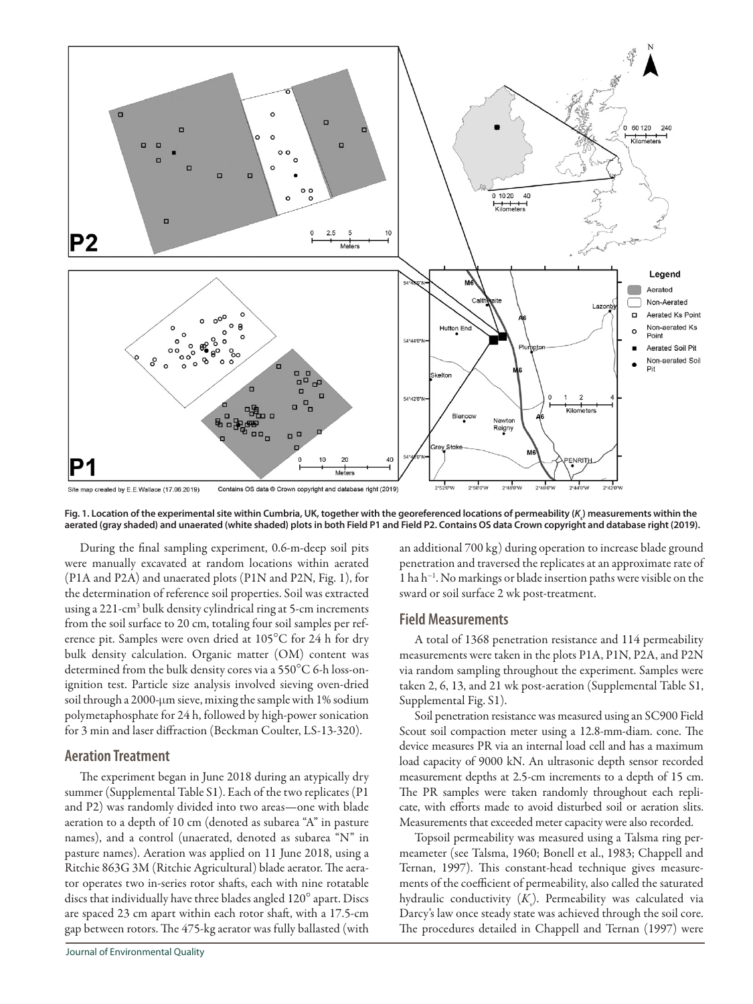

Fig. 1. Location of the experimental site within Cumbria, UK, together with the georeferenced locations of permeability (*K*<sub>s</sub>) measurements within the **aerated (gray shaded) and unaerated (white shaded) plots in both Field P1 and Field P2. Contains OS data Crown copyright and database right (2019).**

During the final sampling experiment, 0.6-m-deep soil pits were manually excavated at random locations within aerated (P1A and P2A) and unaerated plots (P1N and P2N, Fig. 1), for the determination of reference soil properties. Soil was extracted using a 221-cm3 bulk density cylindrical ring at 5-cm increments from the soil surface to 20 cm, totaling four soil samples per reference pit. Samples were oven dried at 105°C for 24 h for dry bulk density calculation. Organic matter (OM) content was determined from the bulk density cores via a 550°C 6-h loss-onignition test. Particle size analysis involved sieving oven-dried soil through a 2000-µm sieve, mixing the sample with 1% sodium polymetaphosphate for 24 h, followed by high-power sonication for 3 min and laser diffraction (Beckman Coulter, LS-13-320).

#### **Aeration Treatment**

The experiment began in June 2018 during an atypically dry summer (Supplemental Table S1). Each of the two replicates (P1 and P2) was randomly divided into two areas—one with blade aeration to a depth of 10 cm (denoted as subarea "A" in pasture names), and a control (unaerated, denoted as subarea "N" in pasture names). Aeration was applied on 11 June 2018, using a Ritchie 863G 3M (Ritchie Agricultural) blade aerator. The aerator operates two in-series rotor shafts, each with nine rotatable discs that individually have three blades angled 120° apart. Discs are spaced 23 cm apart within each rotor shaft, with a 17.5-cm gap between rotors. The 475-kg aerator was fully ballasted (with an additional 700 kg) during operation to increase blade ground penetration and traversed the replicates at an approximate rate of 1 ha h−1. No markings or blade insertion paths were visible on the sward or soil surface 2 wk post-treatment.

#### **Field Measurements**

A total of 1368 penetration resistance and 114 permeability measurements were taken in the plots P1A, P1N, P2A, and P2N via random sampling throughout the experiment. Samples were taken 2, 6, 13, and 21 wk post-aeration (Supplemental Table S1, Supplemental Fig. S1).

Soil penetration resistance was measured using an SC900 Field Scout soil compaction meter using a 12.8-mm-diam. cone. The device measures PR via an internal load cell and has a maximum load capacity of 9000 kN. An ultrasonic depth sensor recorded measurement depths at 2.5-cm increments to a depth of 15 cm. The PR samples were taken randomly throughout each replicate, with efforts made to avoid disturbed soil or aeration slits. Measurements that exceeded meter capacity were also recorded.

Topsoil permeability was measured using a Talsma ring permeameter (see Talsma, 1960; Bonell et al., 1983; Chappell and Ternan, 1997). This constant-head technique gives measurements of the coefficient of permeability, also called the saturated hydraulic conductivity (*K*<sub>s</sub>). Permeability was calculated via Darcy's law once steady state was achieved through the soil core. The procedures detailed in Chappell and Ternan (1997) were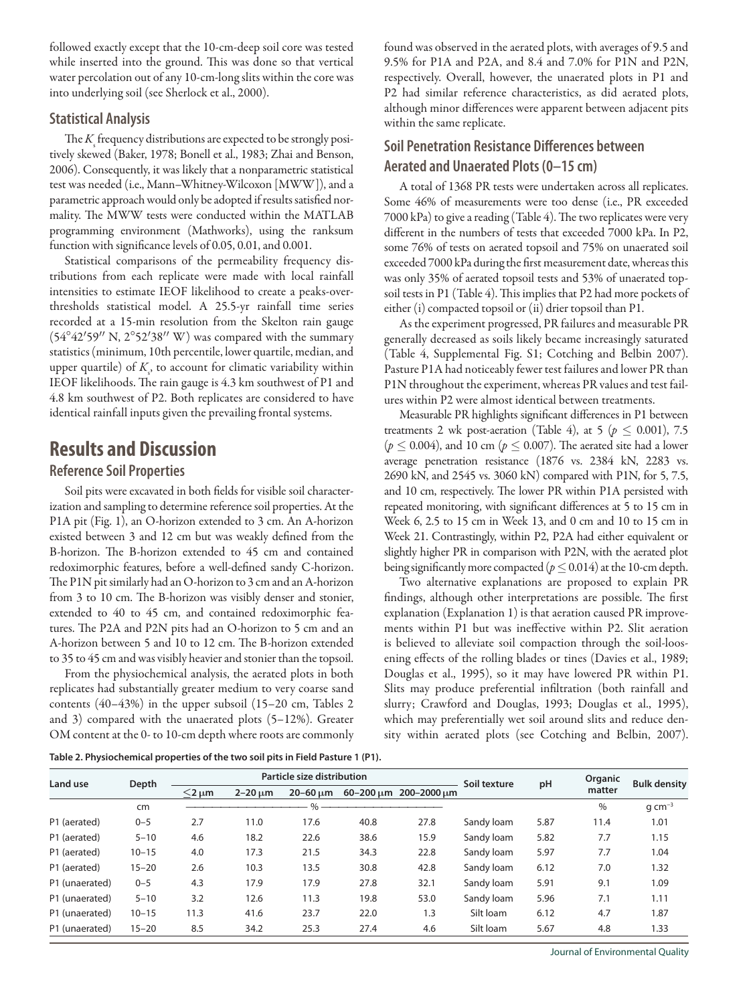followed exactly except that the 10-cm-deep soil core was tested while inserted into the ground. This was done so that vertical water percolation out of any 10-cm-long slits within the core was into underlying soil (see Sherlock et al., 2000).

#### **Statistical Analysis**

The  $K_{\!\scriptscriptstyle\rm S}^{\!\scriptscriptstyle\rm F}$  frequency distributions are expected to be strongly positively skewed (Baker, 1978; Bonell et al., 1983; Zhai and Benson, 2006). Consequently, it was likely that a nonparametric statistical test was needed (i.e., Mann–Whitney-Wilcoxon [MWW]), and a parametric approach would only be adopted if results satisfied normality. The MWW tests were conducted within the MATLAB programming environment (Mathworks), using the ranksum function with significance levels of 0.05, 0.01, and 0.001.

Statistical comparisons of the permeability frequency distributions from each replicate were made with local rainfall intensities to estimate IEOF likelihood to create a peaks-overthresholds statistical model. A 25.5-yr rainfall time series recorded at a 15-min resolution from the Skelton rain gauge  $(54^{\circ}42'59''$  N,  $2^{\circ}52'38''$  W) was compared with the summary statistics (minimum, 10th percentile, lower quartile, median, and upper quartile) of  $K<sub>s</sub>$ , to account for climatic variability within IEOF likelihoods. The rain gauge is 4.3 km southwest of P1 and 4.8 km southwest of P2. Both replicates are considered to have identical rainfall inputs given the prevailing frontal systems.

# **Results and Discussion**

#### **Reference Soil Properties**

Soil pits were excavated in both fields for visible soil characterization and sampling to determine reference soil properties. At the P1A pit (Fig. 1), an O-horizon extended to 3 cm. An A-horizon existed between 3 and 12 cm but was weakly defined from the B-horizon. The B-horizon extended to 45 cm and contained redoximorphic features, before a well-defined sandy C-horizon. The P1N pit similarly had an O-horizon to 3 cm and an A-horizon from 3 to 10 cm. The B-horizon was visibly denser and stonier, extended to 40 to 45 cm, and contained redoximorphic features. The P2A and P2N pits had an O-horizon to 5 cm and an A-horizon between 5 and 10 to 12 cm. The B-horizon extended to 35 to 45 cm and was visibly heavier and stonier than the topsoil.

From the physiochemical analysis, the aerated plots in both replicates had substantially greater medium to very coarse sand contents (40–43%) in the upper subsoil (15–20 cm, Tables 2 and 3) compared with the unaerated plots (5–12%). Greater OM content at the 0- to 10-cm depth where roots are commonly found was observed in the aerated plots, with averages of 9.5 and 9.5% for P1A and P2A, and 8.4 and 7.0% for P1N and P2N, respectively. Overall, however, the unaerated plots in P1 and P2 had similar reference characteristics, as did aerated plots, although minor differences were apparent between adjacent pits within the same replicate.

## **Soil Penetration Resistance Differences between Aerated and Unaerated Plots (0–15 cm)**

A total of 1368 PR tests were undertaken across all replicates. Some 46% of measurements were too dense (i.e., PR exceeded 7000 kPa) to give a reading (Table 4). The two replicates were very different in the numbers of tests that exceeded 7000 kPa. In P2, some 76% of tests on aerated topsoil and 75% on unaerated soil exceeded 7000 kPa during the first measurement date, whereas this was only 35% of aerated topsoil tests and 53% of unaerated topsoil tests in P1 (Table 4). This implies that P2 had more pockets of either (i) compacted topsoil or (ii) drier topsoil than P1.

As the experiment progressed, PR failures and measurable PR generally decreased as soils likely became increasingly saturated (Table 4, Supplemental Fig. S1; Cotching and Belbin 2007). Pasture P1A had noticeably fewer test failures and lower PR than P1N throughout the experiment, whereas PR values and test failures within P2 were almost identical between treatments.

Measurable PR highlights significant differences in P1 between treatments 2 wk post-aeration (Table 4), at 5 ( $p \leq 0.001$ ), 7.5  $(p \le 0.004)$ , and 10 cm  $(p \le 0.007)$ . The aerated site had a lower average penetration resistance (1876 vs. 2384 kN, 2283 vs. 2690 kN, and 2545 vs. 3060 kN) compared with P1N, for 5, 7.5, and 10 cm, respectively. The lower PR within P1A persisted with repeated monitoring, with significant differences at 5 to 15 cm in Week 6, 2.5 to 15 cm in Week 13, and 0 cm and 10 to 15 cm in Week 21. Contrastingly, within P2, P2A had either equivalent or slightly higher PR in comparison with P2N, with the aerated plot being significantly more compacted ( $p \le 0.014$ ) at the 10-cm depth.

Two alternative explanations are proposed to explain PR findings, although other interpretations are possible. The first explanation (Explanation 1) is that aeration caused PR improvements within P1 but was ineffective within P2. Slit aeration is believed to alleviate soil compaction through the soil-loosening effects of the rolling blades or tines (Davies et al., 1989; Douglas et al., 1995), so it may have lowered PR within P1. Slits may produce preferential infiltration (both rainfall and slurry; Crawford and Douglas, 1993; Douglas et al., 1995), which may preferentially wet soil around slits and reduce density within aerated plots (see Cotching and Belbin, 2007).

**Table 2. Physiochemical properties of the two soil pits in Field Pasture 1 (P1).**

| Land use       |           |               |              | Particle size distribution |      | Soil texture          |            | Organic |        |                     |
|----------------|-----------|---------------|--------------|----------------------------|------|-----------------------|------------|---------|--------|---------------------|
|                | Depth     | $<$ 2 $\mu$ m | $2-20 \mu m$ | $20 - 60 \mu m$            |      | 60-200 um 200-2000 um |            | pH      | matter | <b>Bulk density</b> |
|                | cm        |               |              | $\frac{0}{0}$              |      |                       |            |         | $\%$   | $q \, cm^{-3}$      |
| P1 (aerated)   | $0 - 5$   | 2.7           | 11.0         | 17.6                       | 40.8 | 27.8                  | Sandy Joam | 5.87    | 11.4   | 1.01                |
| P1 (aerated)   | $5 - 10$  | 4.6           | 18.2         | 22.6                       | 38.6 | 15.9                  | Sandy loam | 5.82    | 7.7    | 1.15                |
| P1 (aerated)   | $10 - 15$ | 4.0           | 17.3         | 21.5                       | 34.3 | 22.8                  | Sandy loam | 5.97    | 7.7    | 1.04                |
| P1 (aerated)   | $15 - 20$ | 2.6           | 10.3         | 13.5                       | 30.8 | 42.8                  | Sandy loam | 6.12    | 7.0    | 1.32                |
| P1 (unaerated) | $0 - 5$   | 4.3           | 17.9         | 17.9                       | 27.8 | 32.1                  | Sandy Joam | 5.91    | 9.1    | 1.09                |
| P1 (unaerated) | $5 - 10$  | 3.2           | 12.6         | 11.3                       | 19.8 | 53.0                  | Sandy Joam | 5.96    | 7.1    | 1.11                |
| P1 (unaerated) | $10 - 15$ | 11.3          | 41.6         | 23.7                       | 22.0 | 1.3                   | Silt Ioam  | 6.12    | 4.7    | 1.87                |
| P1 (unaerated) | $15 - 20$ | 8.5           | 34.2         | 25.3                       | 27.4 | 4.6                   | Silt Ioam  | 5.67    | 4.8    | 1.33                |

Journal of Environmental Quality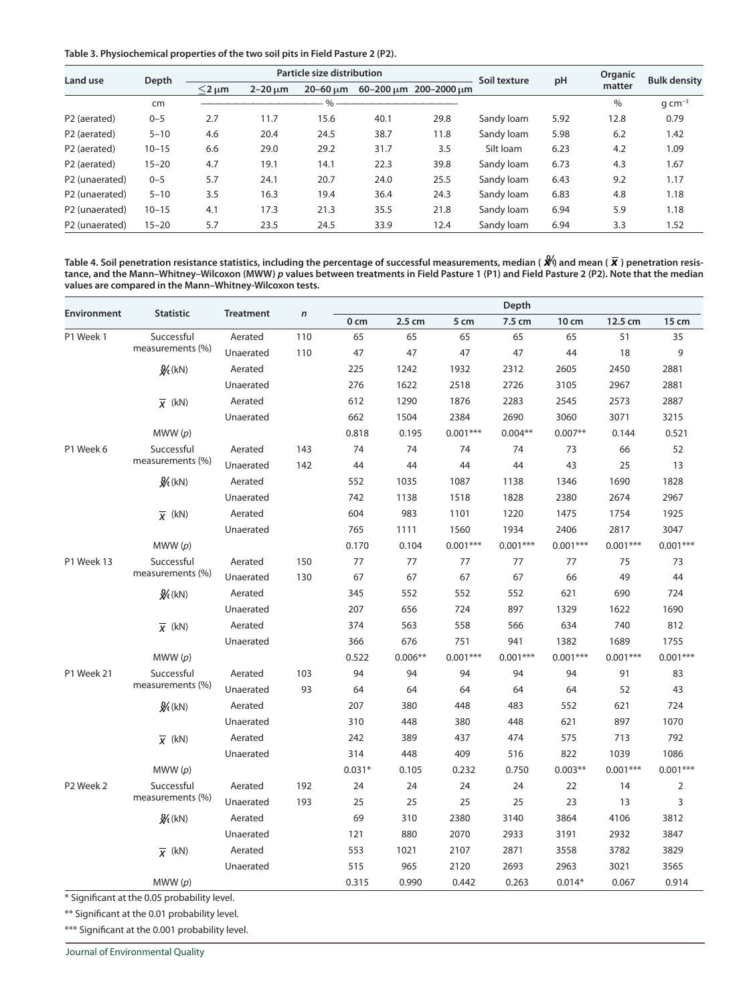**Table 3. Physiochemical properties of the two soil pits in Field Pasture 2 (P2).**

| Land use                 | Depth     |               |              | Particle size distribution |      |                       | Soil texture | pH   | Organic | <b>Bulk density</b><br>$q \, cm^{-3}$<br>0.79<br>1.42<br>1.09<br>1.67 |
|--------------------------|-----------|---------------|--------------|----------------------------|------|-----------------------|--------------|------|---------|-----------------------------------------------------------------------|
|                          |           | $<$ 2 $\mu$ m | $2-20 \mu m$ | $20 - 60$ um               |      | 60-200 um 200-2000 um |              |      | matter  |                                                                       |
|                          | cm        |               |              | 0/2                        |      |                       |              |      | $\%$    |                                                                       |
| P <sub>2</sub> (aerated) | $0 - 5$   | 2.7           | 11.7         | 15.6                       | 40.1 | 29.8                  | Sandy loam   | 5.92 | 12.8    |                                                                       |
| P <sub>2</sub> (aerated) | $5 - 10$  | 4.6           | 20.4         | 24.5                       | 38.7 | 11.8                  | Sandy Joam   | 5.98 | 6.2     |                                                                       |
| P <sub>2</sub> (aerated) | $10 - 15$ | 6.6           | 29.0         | 29.2                       | 31.7 | 3.5                   | Silt loam    | 6.23 | 4.2     |                                                                       |
| P <sub>2</sub> (aerated) | $15 - 20$ | 4.7           | 19.1         | 14.1                       | 22.3 | 39.8                  | Sandy loam   | 6.73 | 4.3     |                                                                       |
| P2 (unaerated)           | $0 - 5$   | 5.7           | 24.1         | 20.7                       | 24.0 | 25.5                  | Sandy Joam   | 6.43 | 9.2     | 1.17                                                                  |
| P2 (unaerated)           | $5 - 10$  | 3.5           | 16.3         | 19.4                       | 36.4 | 24.3                  | Sandy Joam   | 6.83 | 4.8     | 1.18                                                                  |
| P2 (unaerated)           | $10 - 15$ | 4.1           | 17.3         | 21.3                       | 35.5 | 21.8                  | Sandy loam   | 6.94 | 5.9     | 1.18                                                                  |
| P2 (unaerated)           | $15 - 20$ | 5.7           | 23.5         | 24.5                       | 33.9 | 12.4                  | Sandy Joam   | 6.94 | 3.3     | 1.52                                                                  |

Table 4. Soil penetration resistance statistics, including the percentage of successful measurements, median ( $\hat{\mathbf{X}}$ ) and mean ( $\overline{\mathbf{x}}$ ) penetration resis**tance, and the Mann–Whitney–Wilcoxon (MWW)** *p* **values between treatments in Field Pasture 1 (P1) and Field Pasture 2 (P2). Note that the median values are compared in the Mann–Whitney-Wilcoxon tests.**

|                    | <b>Statistic</b>     |                  |              |                 |           |            | Depth      |            |            |                |
|--------------------|----------------------|------------------|--------------|-----------------|-----------|------------|------------|------------|------------|----------------|
| <b>Environment</b> |                      | <b>Treatment</b> | $\mathsf{n}$ | 0 <sub>cm</sub> | 2.5 cm    | 5 cm       | 7.5 cm     | 10 cm      | 12.5 cm    | 15 cm          |
| P1 Week 1          | Successful           | Aerated          | 110          | 65              | 65        | 65         | 65         | 65         | 51         | 35             |
|                    | measurements (%)     | Unaerated        | 110          | 47              | 47        | 47         | 47         | 44         | 18         | 9              |
|                    | $\frac{Q}{R}(kN)$    | Aerated          |              | 225             | 1242      | 1932       | 2312       | 2605       | 2450       | 2881           |
|                    |                      | Unaerated        |              | 276             | 1622      | 2518       | 2726       | 3105       | 2967       | 2881           |
|                    | $\overline{x}$ (kN)  | Aerated          |              | 612             | 1290      | 1876       | 2283       | 2545       | 2573       | 2887           |
|                    |                      | Unaerated        |              | 662             | 1504      | 2384       | 2690       | 3060       | 3071       | 3215           |
|                    | MWW(p)               |                  |              | 0.818           | 0.195     | $0.001***$ | $0.004**$  | $0.007**$  | 0.144      | 0.521          |
| P1 Week 6          | Successful           | Aerated          | 143          | 74              | 74        | 74         | 74         | 73         | 66         | 52             |
|                    | measurements (%)     | Unaerated        | 142          | 44              | 44        | 44         | 44         | 43         | 25         | 13             |
|                    | $\frac{Q}{R}(kN)$    | Aerated          |              | 552             | 1035      | 1087       | 1138       | 1346       | 1690       | 1828           |
|                    |                      | Unaerated        |              | 742             | 1138      | 1518       | 1828       | 2380       | 2674       | 2967           |
|                    | $\overline{X}$ (kN)  | Aerated          |              | 604             | 983       | 1101       | 1220       | 1475       | 1754       | 1925           |
|                    |                      | Unaerated        |              | 765             | 1111      | 1560       | 1934       | 2406       | 2817       | 3047           |
|                    | MWW(p)               |                  |              | 0.170           | 0.104     | $0.001***$ | $0.001***$ | $0.001***$ | $0.001***$ | $0.001***$     |
| P1 Week 13         | Successful           | Aerated          | 150          | 77              | 77        | 77         | 77         | 77         | 75         | 73             |
|                    | measurements (%)     | Unaerated        | 130          | 67              | 67        | 67         | 67         | 66         | 49         | 44             |
|                    | $\mathcal{Y}_k$ (kN) | Aerated          |              | 345             | 552       | 552        | 552        | 621        | 690        | 724            |
|                    |                      | Unaerated        |              | 207             | 656       | 724        | 897        | 1329       | 1622       | 1690           |
|                    | $\overline{X}$ (kN)  | Aerated          |              | 374             | 563       | 558        | 566        | 634        | 740        | 812            |
|                    |                      | Unaerated        |              | 366             | 676       | 751        | 941        | 1382       | 1689       | 1755           |
|                    | MWW(p)               |                  |              | 0.522           | $0.006**$ | $0.001***$ | $0.001***$ | $0.001***$ | $0.001***$ | $0.001***$     |
| P1 Week 21         | Successful           | Aerated          | 103          | 94              | 94        | 94         | 94         | 94         | 91         | 83             |
|                    | measurements (%)     | Unaerated        | 93           | 64              | 64        | 64         | 64         | 64         | 52         | 43             |
|                    | $\frac{a}{k}$ (kN)   | Aerated          |              | 207             | 380       | 448        | 483        | 552        | 621        | 724            |
|                    |                      | Unaerated        |              | 310             | 448       | 380        | 448        | 621        | 897        | 1070           |
|                    | $\overline{x}$ (kN)  | Aerated          |              | 242             | 389       | 437        | 474        | 575        | 713        | 792            |
|                    |                      | Unaerated        |              | 314             | 448       | 409        | 516        | 822        | 1039       | 1086           |
|                    | MWW(p)               |                  |              | $0.031*$        | 0.105     | 0.232      | 0.750      | $0.003**$  | $0.001***$ | $0.001***$     |
| P2 Week 2          | Successful           | Aerated          | 192          | 24              | 24        | 24         | 24         | 22         | 14         | $\overline{2}$ |
|                    | measurements (%)     | Unaerated        | 193          | 25              | 25        | 25         | 25         | 23         | 13         | 3              |
|                    | $\frac{Q}{R}$ (kN)   | Aerated          |              | 69              | 310       | 2380       | 3140       | 3864       | 4106       | 3812           |
|                    |                      | Unaerated        |              | 121             | 880       | 2070       | 2933       | 3191       | 2932       | 3847           |
|                    | $\overline{x}$ (kN)  | Aerated          |              | 553             | 1021      | 2107       | 2871       | 3558       | 3782       | 3829           |
|                    |                      | Unaerated        |              | 515             | 965       | 2120       | 2693       | 2963       | 3021       | 3565           |
|                    | MWW(p)               |                  |              | 0.315           | 0.990     | 0.442      | 0.263      | $0.014*$   | 0.067      | 0.914          |

\* Significant at the 0.05 probability level.

\*\* Significant at the 0.01 probability level.

\*\*\* Significant at the 0.001 probability level.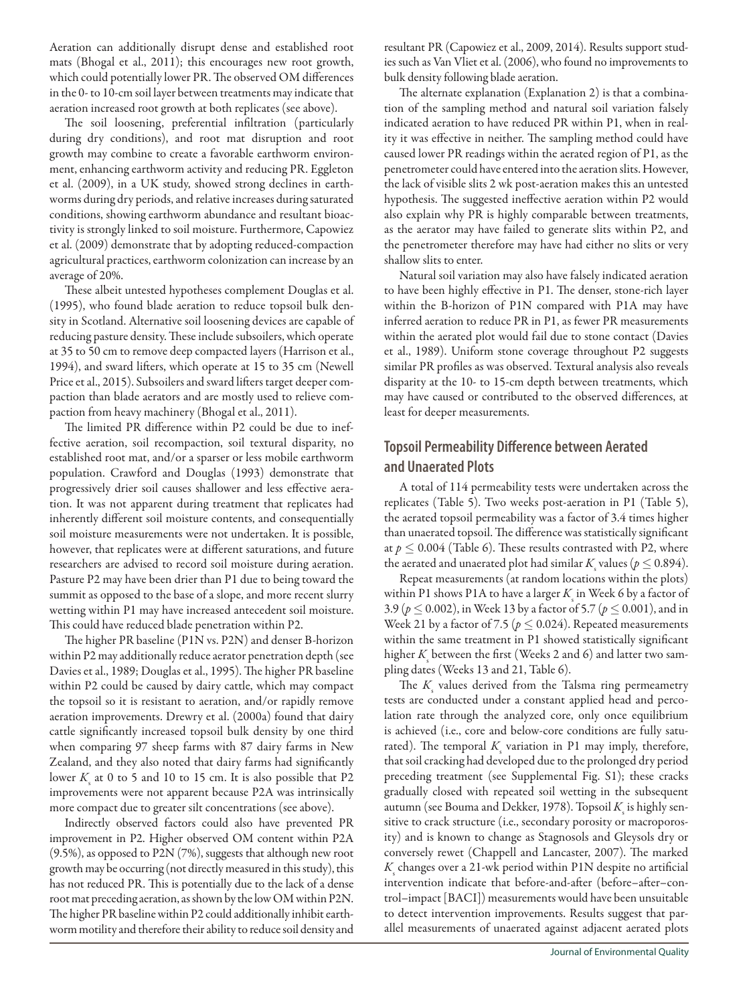Aeration can additionally disrupt dense and established root mats (Bhogal et al., 2011); this encourages new root growth, which could potentially lower PR. The observed OM differences in the 0- to 10-cm soil layer between treatments may indicate that aeration increased root growth at both replicates (see above).

The soil loosening, preferential infiltration (particularly during dry conditions), and root mat disruption and root growth may combine to create a favorable earthworm environment, enhancing earthworm activity and reducing PR. Eggleton et al. (2009), in a UK study, showed strong declines in earthworms during dry periods, and relative increases during saturated conditions, showing earthworm abundance and resultant bioactivity is strongly linked to soil moisture. Furthermore, Capowiez et al. (2009) demonstrate that by adopting reduced-compaction agricultural practices, earthworm colonization can increase by an average of 20%.

These albeit untested hypotheses complement Douglas et al. (1995), who found blade aeration to reduce topsoil bulk density in Scotland. Alternative soil loosening devices are capable of reducing pasture density. These include subsoilers, which operate at 35 to 50 cm to remove deep compacted layers (Harrison et al., 1994), and sward lifters, which operate at 15 to 35 cm (Newell Price et al., 2015). Subsoilers and sward lifters target deeper compaction than blade aerators and are mostly used to relieve compaction from heavy machinery (Bhogal et al., 2011).

The limited PR difference within P2 could be due to ineffective aeration, soil recompaction, soil textural disparity, no established root mat, and/or a sparser or less mobile earthworm population. Crawford and Douglas (1993) demonstrate that progressively drier soil causes shallower and less effective aeration. It was not apparent during treatment that replicates had inherently different soil moisture contents, and consequentially soil moisture measurements were not undertaken. It is possible, however, that replicates were at different saturations, and future researchers are advised to record soil moisture during aeration. Pasture P2 may have been drier than P1 due to being toward the summit as opposed to the base of a slope, and more recent slurry wetting within P1 may have increased antecedent soil moisture. This could have reduced blade penetration within P2.

The higher PR baseline (P1N vs. P2N) and denser B-horizon within P2 may additionally reduce aerator penetration depth (see Davies et al., 1989; Douglas et al., 1995). The higher PR baseline within P2 could be caused by dairy cattle, which may compact the topsoil so it is resistant to aeration, and/or rapidly remove aeration improvements. Drewry et al. (2000a) found that dairy cattle significantly increased topsoil bulk density by one third when comparing 97 sheep farms with 87 dairy farms in New Zealand, and they also noted that dairy farms had significantly lower  $K<sub>s</sub>$  at 0 to 5 and 10 to 15 cm. It is also possible that P2 improvements were not apparent because P2A was intrinsically more compact due to greater silt concentrations (see above).

Indirectly observed factors could also have prevented PR improvement in P2. Higher observed OM content within P2A (9.5%), as opposed to P2N (7%), suggests that although new root growth may be occurring (not directly measured in this study), this has not reduced PR. This is potentially due to the lack of a dense root mat preceding aeration, as shown by the low OM within P2N. The higher PR baseline within P2 could additionally inhibit earthworm motility and therefore their ability to reduce soil density and resultant PR (Capowiez et al., 2009, 2014). Results support studies such as Van Vliet et al. (2006), who found no improvements to bulk density following blade aeration.

The alternate explanation (Explanation 2) is that a combination of the sampling method and natural soil variation falsely indicated aeration to have reduced PR within P1, when in reality it was effective in neither. The sampling method could have caused lower PR readings within the aerated region of P1, as the penetrometer could have entered into the aeration slits. However, the lack of visible slits 2 wk post-aeration makes this an untested hypothesis. The suggested ineffective aeration within P2 would also explain why PR is highly comparable between treatments, as the aerator may have failed to generate slits within P2, and the penetrometer therefore may have had either no slits or very shallow slits to enter.

Natural soil variation may also have falsely indicated aeration to have been highly effective in P1. The denser, stone-rich layer within the B-horizon of P1N compared with P1A may have inferred aeration to reduce PR in P1, as fewer PR measurements within the aerated plot would fail due to stone contact (Davies et al., 1989). Uniform stone coverage throughout P2 suggests similar PR profiles as was observed. Textural analysis also reveals disparity at the 10- to 15-cm depth between treatments, which may have caused or contributed to the observed differences, at least for deeper measurements.

## **Topsoil Permeability Difference between Aerated and Unaerated Plots**

A total of 114 permeability tests were undertaken across the replicates (Table 5). Two weeks post-aeration in P1 (Table 5), the aerated topsoil permeability was a factor of 3.4 times higher than unaerated topsoil. The difference was statistically significant at  $p \leq 0.004$  (Table 6). These results contrasted with P2, where the aerated and unaerated plot had similar  $K_{\text{s}}$  values ( $p \le 0.894$ ).

Repeat measurements (at random locations within the plots) within P1 shows P1A to have a larger  $K<sub>s</sub>$  in Week 6 by a factor of 3.9 ( $p \le 0.002$ ), in Week 13 by a factor of 5.7 ( $p \le 0.001$ ), and in Week 21 by a factor of 7.5 ( $p \leq 0.024$ ). Repeated measurements within the same treatment in P1 showed statistically significant higher  $K$ <sub>s</sub> between the first (Weeks 2 and 6) and latter two sampling dates (Weeks 13 and 21, Table 6).

The  $K_{\rm s}$  values derived from the Talsma ring permeametry tests are conducted under a constant applied head and percolation rate through the analyzed core, only once equilibrium is achieved (i.e., core and below-core conditions are fully saturated). The temporal  $K_s$  variation in P1 may imply, therefore, that soil cracking had developed due to the prolonged dry period preceding treatment (see Supplemental Fig. S1); these cracks gradually closed with repeated soil wetting in the subsequent autumn (see Bouma and Dekker, 1978). Topsoil  $K_{\!\scriptscriptstyle\rm S}$  is highly sensitive to crack structure (i.e., secondary porosity or macroporosity) and is known to change as Stagnosols and Gleysols dry or conversely rewet (Chappell and Lancaster, 2007). The marked  $K_{\text{s}}$  changes over a 21-wk period within P1N despite no artificial intervention indicate that before-and-after (before–after–control–impact [BACI]) measurements would have been unsuitable to detect intervention improvements. Results suggest that parallel measurements of unaerated against adjacent aerated plots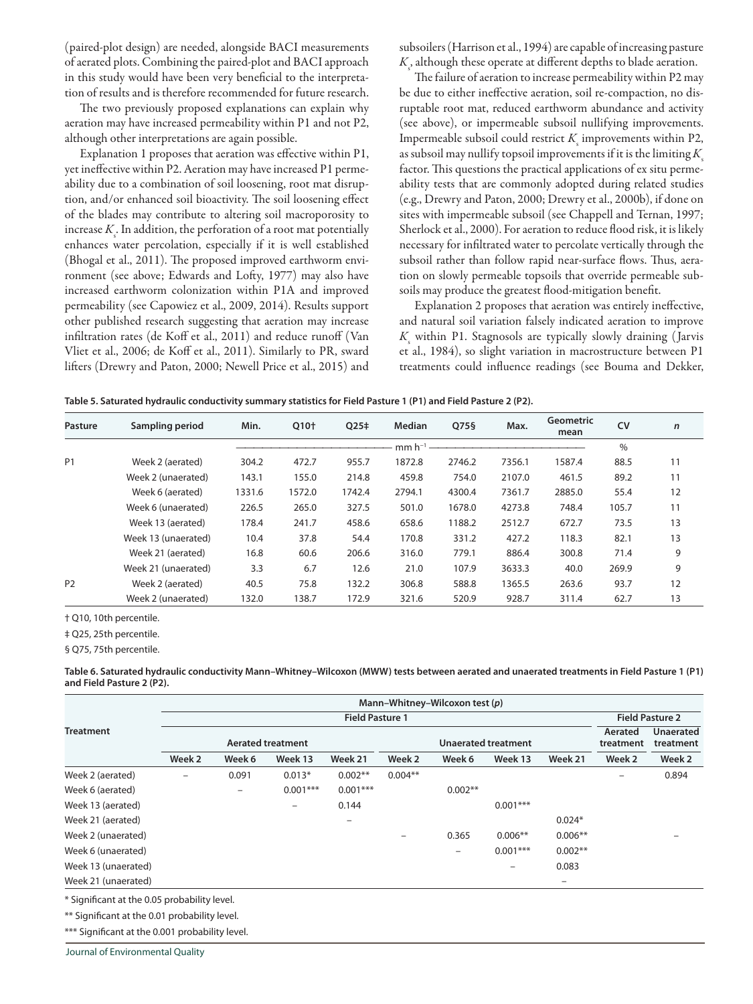(paired-plot design) are needed, alongside BACI measurements of aerated plots. Combining the paired-plot and BACI approach in this study would have been very beneficial to the interpretation of results and is therefore recommended for future research.

The two previously proposed explanations can explain why aeration may have increased permeability within P1 and not P2, although other interpretations are again possible.

Explanation 1 proposes that aeration was effective within P1, yet ineffective within P2. Aeration may have increased P1 permeability due to a combination of soil loosening, root mat disruption, and/or enhanced soil bioactivity. The soil loosening effect of the blades may contribute to altering soil macroporosity to increase  $K_{\varsigma}$ . In addition, the perforation of a root mat potentially enhances water percolation, especially if it is well established (Bhogal et al., 2011). The proposed improved earthworm environment (see above; Edwards and Lofty, 1977) may also have increased earthworm colonization within P1A and improved permeability (see Capowiez et al., 2009, 2014). Results support other published research suggesting that aeration may increase infiltration rates (de Koff et al., 2011) and reduce runoff (Van Vliet et al., 2006; de Koff et al., 2011). Similarly to PR, sward lifters (Drewry and Paton, 2000; Newell Price et al., 2015) and

subsoilers (Harrison et al., 1994) are capable of increasing pasture  $K_{\!\scriptscriptstyle\rm g}$ , although these operate at different depths to blade aeration.

The failure of aeration to increase permeability within P2 may be due to either ineffective aeration, soil re-compaction, no disruptable root mat, reduced earthworm abundance and activity (see above), or impermeable subsoil nullifying improvements. Impermeable subsoil could restrict  $K_{\rm s}$  improvements within P2, as subsoil may nullify topsoil improvements if it is the limiting  $K_s$ factor. This questions the practical applications of ex situ permeability tests that are commonly adopted during related studies (e.g., Drewry and Paton, 2000; Drewry et al., 2000b), if done on sites with impermeable subsoil (see Chappell and Ternan, 1997; Sherlock et al., 2000). For aeration to reduce flood risk, it is likely necessary for infiltrated water to percolate vertically through the subsoil rather than follow rapid near-surface flows. Thus, aeration on slowly permeable topsoils that override permeable subsoils may produce the greatest flood-mitigation benefit.

Explanation 2 proposes that aeration was entirely ineffective, and natural soil variation falsely indicated aeration to improve *K*s within P1. Stagnosols are typically slowly draining ( Jarvis et al., 1984), so slight variation in macrostructure between P1 treatments could influence readings (see Bouma and Dekker,

|  | Table 5. Saturated hydraulic conductivity summary statistics for Field Pasture 1 (P1) and Field Pasture 2 (P2). |  |  |
|--|-----------------------------------------------------------------------------------------------------------------|--|--|
|--|-----------------------------------------------------------------------------------------------------------------|--|--|

| <b>Pasture</b> | Sampling period     | Min.   | O10 <sup>+</sup> | Q25#   | Median      | Q75§   | Max.   | <b>Geometric</b><br>mean | <b>CV</b> | $\mathsf{n}$ |
|----------------|---------------------|--------|------------------|--------|-------------|--------|--------|--------------------------|-----------|--------------|
|                |                     |        |                  |        | $mm h^{-1}$ |        |        |                          | $\%$      |              |
| P <sub>1</sub> | Week 2 (aerated)    | 304.2  | 472.7            | 955.7  | 1872.8      | 2746.2 | 7356.1 | 1587.4                   | 88.5      | 11           |
|                | Week 2 (unaerated)  | 143.1  | 155.0            | 214.8  | 459.8       | 754.0  | 2107.0 | 461.5                    | 89.2      | 11           |
|                | Week 6 (aerated)    | 1331.6 | 1572.0           | 1742.4 | 2794.1      | 4300.4 | 7361.7 | 2885.0                   | 55.4      | 12           |
|                | Week 6 (unaerated)  | 226.5  | 265.0            | 327.5  | 501.0       | 1678.0 | 4273.8 | 748.4                    | 105.7     | 11           |
|                | Week 13 (aerated)   | 178.4  | 241.7            | 458.6  | 658.6       | 1188.2 | 2512.7 | 672.7                    | 73.5      | 13           |
|                | Week 13 (unaerated) | 10.4   | 37.8             | 54.4   | 170.8       | 331.2  | 427.2  | 118.3                    | 82.1      | 13           |
|                | Week 21 (aerated)   | 16.8   | 60.6             | 206.6  | 316.0       | 779.1  | 886.4  | 300.8                    | 71.4      | 9            |
|                | Week 21 (unaerated) | 3.3    | 6.7              | 12.6   | 21.0        | 107.9  | 3633.3 | 40.0                     | 269.9     | 9            |
| P <sub>2</sub> | Week 2 (aerated)    | 40.5   | 75.8             | 132.2  | 306.8       | 588.8  | 1365.5 | 263.6                    | 93.7      | 12           |
|                | Week 2 (unaerated)  | 132.0  | 138.7            | 172.9  | 321.6       | 520.9  | 928.7  | 311.4                    | 62.7      | 13           |

† Q10, 10th percentile.

‡ Q25, 25th percentile.

§ Q75, 75th percentile.

**Table 6. Saturated hydraulic conductivity Mann–Whitney–Wilcoxon (MWW) tests between aerated and unaerated treatments in Field Pasture 1 (P1) and Field Pasture 2 (P2).**

|                     |                          |                   |                          |                          |           | Mann-Whitney-Wilcoxon test (p) |                     |           |                      |                               |
|---------------------|--------------------------|-------------------|--------------------------|--------------------------|-----------|--------------------------------|---------------------|-----------|----------------------|-------------------------------|
|                     |                          |                   |                          | <b>Field Pasture 1</b>   |           |                                |                     |           |                      | <b>Field Pasture 2</b>        |
| <b>Treatment</b>    |                          |                   | <b>Aerated treatment</b> |                          |           |                                | Unaerated treatment |           | Aerated<br>treatment | <b>Unaerated</b><br>treatment |
|                     | Week 2                   | Week 6            | Week 13                  | Week 21                  | Week 2    | Week 6                         | Week 13             | Week 21   | Week 2               | Week 2                        |
| Week 2 (aerated)    | $\overline{\phantom{m}}$ | 0.091             | $0.013*$                 | $0.002**$                | $0.004**$ |                                |                     |           | -                    | 0.894                         |
| Week 6 (aerated)    |                          | $\qquad \qquad -$ | $0.001***$               | $0.001***$               |           | $0.002**$                      |                     |           |                      |                               |
| Week 13 (aerated)   |                          |                   | -                        | 0.144                    |           |                                | $0.001***$          |           |                      |                               |
| Week 21 (aerated)   |                          |                   |                          | $\overline{\phantom{m}}$ |           |                                |                     | $0.024*$  |                      |                               |
| Week 2 (unaerated)  |                          |                   |                          |                          | -         | 0.365                          | $0.006**$           | $0.006**$ |                      |                               |
| Week 6 (unaerated)  |                          |                   |                          |                          |           | $\qquad \qquad -$              | $0.001***$          | $0.002**$ |                      |                               |
| Week 13 (unaerated) |                          |                   |                          |                          |           |                                | $\qquad \qquad -$   | 0.083     |                      |                               |
| Week 21 (unaerated) |                          |                   |                          |                          |           |                                |                     | -         |                      |                               |

\* Significant at the 0.05 probability level.

\*\* Significant at the 0.01 probability level.

\*\*\* Significant at the 0.001 probability level.

Journal of Environmental Quality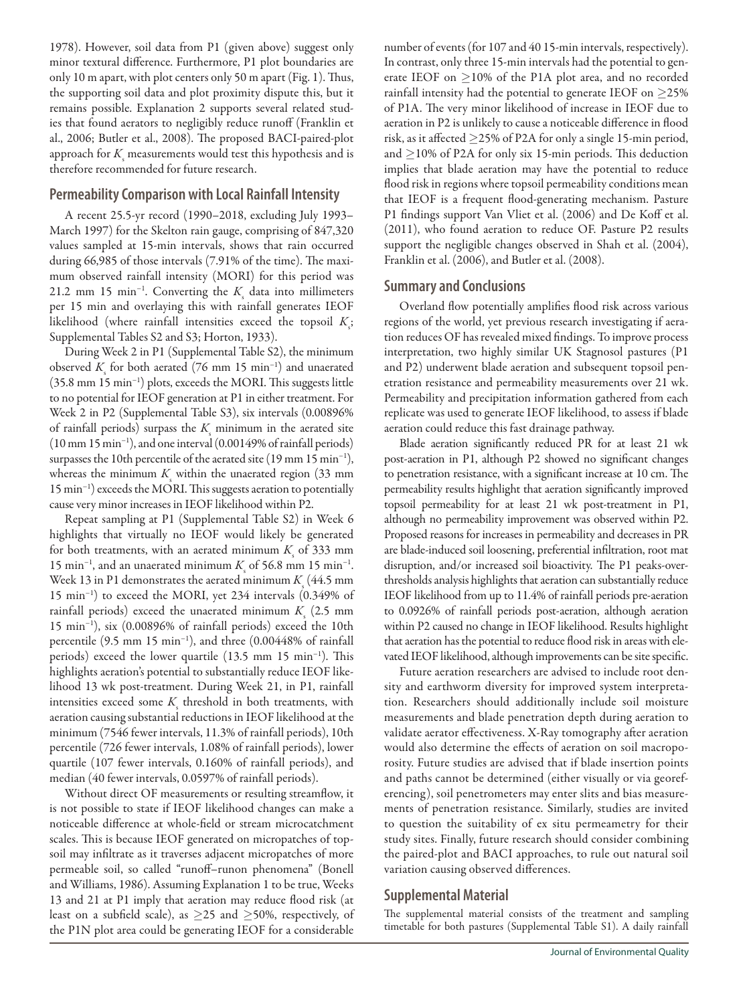1978). However, soil data from P1 (given above) suggest only minor textural difference. Furthermore, P1 plot boundaries are only 10 m apart, with plot centers only 50 m apart (Fig. 1). Thus, the supporting soil data and plot proximity dispute this, but it remains possible. Explanation 2 supports several related studies that found aerators to negligibly reduce runoff (Franklin et al., 2006; Butler et al., 2008). The proposed BACI-paired-plot approach for  $K_{\text{s}}$  measurements would test this hypothesis and is therefore recommended for future research.

## **Permeability Comparison with Local Rainfall Intensity**

A recent 25.5-yr record (1990–2018, excluding July 1993– March 1997) for the Skelton rain gauge, comprising of 847,320 values sampled at 15-min intervals, shows that rain occurred during 66,985 of those intervals (7.91% of the time). The maximum observed rainfall intensity (MORI) for this period was 21.2 mm 15 min<sup>-1</sup>. Converting the *K*<sub>s</sub> data into millimeters per 15 min and overlaying this with rainfall generates IEOF likelihood (where rainfall intensities exceed the topsoil  $K<sub>s</sub>$ ; Supplemental Tables S2 and S3; Horton, 1933).

During Week 2 in P1 (Supplemental Table S2), the minimum observed *K*<sub>s</sub> for both aerated (76 mm 15 min<sup>-1</sup>) and unaerated (35.8 mm 15 min−1) plots, exceeds the MORI. This suggests little to no potential for IEOF generation at P1 in either treatment. For Week 2 in P2 (Supplemental Table S3), six intervals (0.00896% of rainfall periods) surpass the  $K_{\rm s}$  minimum in the aerated site (10 mm 15 min−1), and one interval (0.00149% of rainfall periods) surpasses the 10th percentile of the aerated site (19 mm 15 min<sup>-1</sup>), whereas the minimum  $K_{\text{s}}$  within the unaerated region (33 mm) 15 min−1) exceeds the MORI. This suggests aeration to potentially cause very minor increases in IEOF likelihood within P2.

Repeat sampling at P1 (Supplemental Table S2) in Week 6 highlights that virtually no IEOF would likely be generated for both treatments, with an aerated minimum  $K<sub>s</sub>$  of 333 mm 15 min<sup>-1</sup>, and an unaerated minimum  $K_s$  of 56.8 mm 15 min<sup>-1</sup>. Week 13 in P1 demonstrates the aerated minimum  $K_{\rm s}$  (44.5 mm) 15 min−1) to exceed the MORI, yet 234 intervals (0.349% of rainfall periods) exceed the unaerated minimum  $K<sub>s</sub>$  (2.5 mm) 15 min−1), six (0.00896% of rainfall periods) exceed the 10th percentile (9.5 mm 15 min−1), and three (0.00448% of rainfall periods) exceed the lower quartile (13.5 mm 15 min−1). This highlights aeration's potential to substantially reduce IEOF likelihood 13 wk post-treatment. During Week 21, in P1, rainfall intensities exceed some  $K_{\rm s}$  threshold in both treatments, with aeration causing substantial reductions in IEOF likelihood at the minimum (7546 fewer intervals, 11.3% of rainfall periods), 10th percentile (726 fewer intervals, 1.08% of rainfall periods), lower quartile (107 fewer intervals, 0.160% of rainfall periods), and median (40 fewer intervals, 0.0597% of rainfall periods).

Without direct OF measurements or resulting streamflow, it is not possible to state if IEOF likelihood changes can make a noticeable difference at whole-field or stream microcatchment scales. This is because IEOF generated on micropatches of topsoil may infiltrate as it traverses adjacent micropatches of more permeable soil, so called "runoff–runon phenomena" (Bonell and Williams, 1986). Assuming Explanation 1 to be true, Weeks 13 and 21 at P1 imply that aeration may reduce flood risk (at least on a subfield scale), as  $\geq$ 25 and  $\geq$ 50%, respectively, of the P1N plot area could be generating IEOF for a considerable

number of events (for 107 and 40 15-min intervals, respectively). In contrast, only three 15-min intervals had the potential to generate IEOF on  $\geq$ 10% of the P1A plot area, and no recorded rainfall intensity had the potential to generate IEOF on  $\geq$ 25% of P1A. The very minor likelihood of increase in IEOF due to aeration in P2 is unlikely to cause a noticeable difference in flood risk, as it affected  $\geq$ 25% of P2A for only a single 15-min period, and  $\geq$ 10% of P2A for only six 15-min periods. This deduction implies that blade aeration may have the potential to reduce flood risk in regions where topsoil permeability conditions mean that IEOF is a frequent flood-generating mechanism. Pasture P1 findings support Van Vliet et al. (2006) and De Koff et al. (2011), who found aeration to reduce OF. Pasture P2 results support the negligible changes observed in Shah et al. (2004), Franklin et al. (2006), and Butler et al. (2008).

## **Summary and Conclusions**

Overland flow potentially amplifies flood risk across various regions of the world, yet previous research investigating if aeration reduces OF has revealed mixed findings. To improve process interpretation, two highly similar UK Stagnosol pastures (P1 and P2) underwent blade aeration and subsequent topsoil penetration resistance and permeability measurements over 21 wk. Permeability and precipitation information gathered from each replicate was used to generate IEOF likelihood, to assess if blade aeration could reduce this fast drainage pathway.

Blade aeration significantly reduced PR for at least 21 wk post-aeration in P1, although P2 showed no significant changes to penetration resistance, with a significant increase at 10 cm. The permeability results highlight that aeration significantly improved topsoil permeability for at least 21 wk post-treatment in P1, although no permeability improvement was observed within P2. Proposed reasons for increases in permeability and decreases in PR are blade-induced soil loosening, preferential infiltration, root mat disruption, and/or increased soil bioactivity. The P1 peaks-overthresholds analysis highlights that aeration can substantially reduce IEOF likelihood from up to 11.4% of rainfall periods pre-aeration to 0.0926% of rainfall periods post-aeration, although aeration within P2 caused no change in IEOF likelihood. Results highlight that aeration has the potential to reduce flood risk in areas with elevated IEOF likelihood, although improvements can be site specific.

Future aeration researchers are advised to include root density and earthworm diversity for improved system interpretation. Researchers should additionally include soil moisture measurements and blade penetration depth during aeration to validate aerator effectiveness. X-Ray tomography after aeration would also determine the effects of aeration on soil macroporosity. Future studies are advised that if blade insertion points and paths cannot be determined (either visually or via georeferencing), soil penetrometers may enter slits and bias measurements of penetration resistance. Similarly, studies are invited to question the suitability of ex situ permeametry for their study sites. Finally, future research should consider combining the paired-plot and BACI approaches, to rule out natural soil variation causing observed differences.

## **Supplemental Material**

The supplemental material consists of the treatment and sampling timetable for both pastures (Supplemental Table S1). A daily rainfall